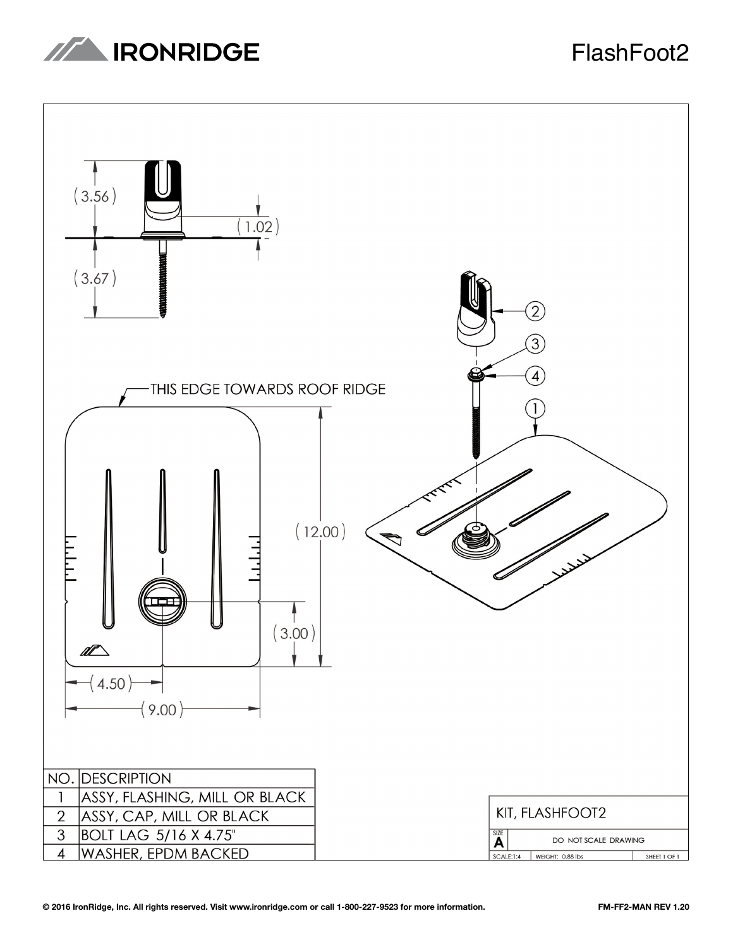